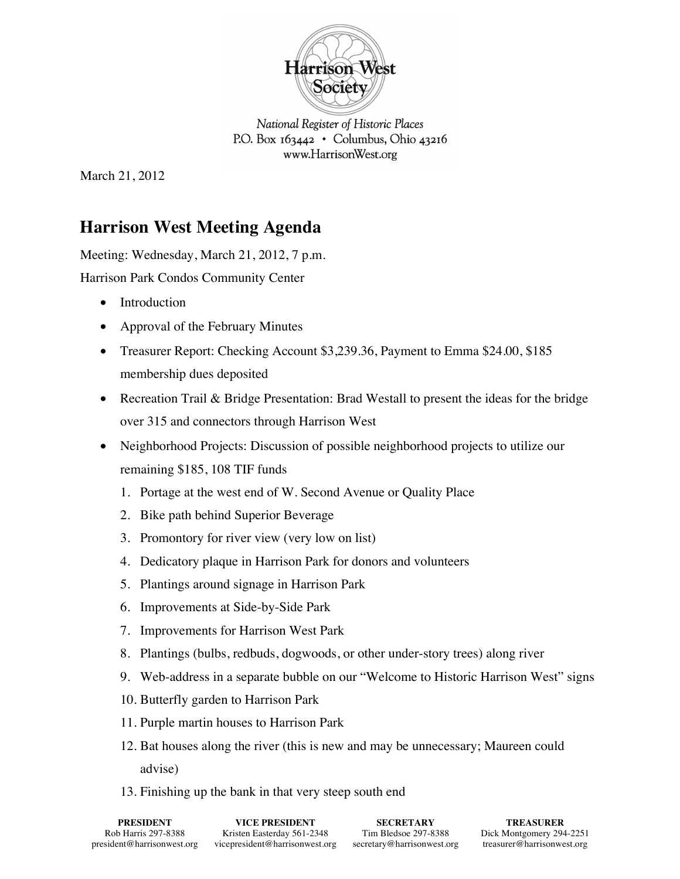

National Register of Historic Places P.O. Box  $163442 \cdot$  Columbus, Ohio  $43216$ www.HarrisonWest.org

March 21, 2012

## **Harrison West Meeting Agenda**

Meeting: Wednesday, March 21, 2012, 7 p.m.

Harrison Park Condos Community Center

- Introduction
- Approval of the February Minutes
- Treasurer Report: Checking Account \$3,239.36, Payment to Emma \$24.00, \$185 membership dues deposited
- Recreation Trail & Bridge Presentation: Brad Westall to present the ideas for the bridge over 315 and connectors through Harrison West
- Neighborhood Projects: Discussion of possible neighborhood projects to utilize our remaining \$185, 108 TIF funds
	- 1. Portage at the west end of W. Second Avenue or Quality Place
	- 2. Bike path behind Superior Beverage
	- 3. Promontory for river view (very low on list)
	- 4. Dedicatory plaque in Harrison Park for donors and volunteers
	- 5. Plantings around signage in Harrison Park
	- 6. Improvements at Side-by-Side Park
	- 7. Improvements for Harrison West Park
	- 8. Plantings (bulbs, redbuds, dogwoods, or other under-story trees) along river
	- 9. Web-address in a separate bubble on our "Welcome to Historic Harrison West" signs
	- 10. Butterfly garden to Harrison Park
	- 11. Purple martin houses to Harrison Park
	- 12. Bat houses along the river (this is new and may be unnecessary; Maureen could advise)
	- 13. Finishing up the bank in that very steep south end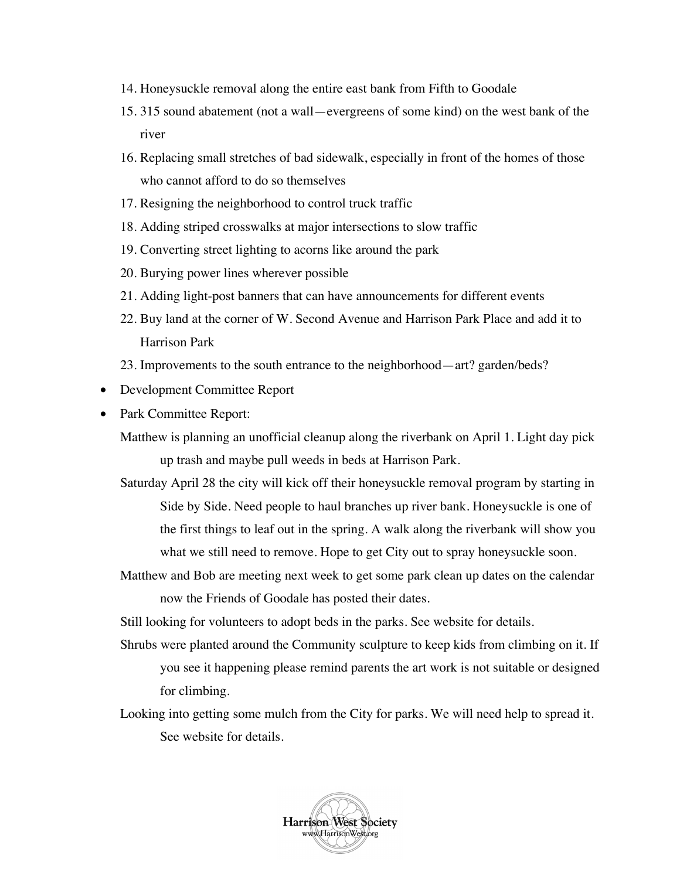- 14. Honeysuckle removal along the entire east bank from Fifth to Goodale
- 15. 315 sound abatement (not a wall—evergreens of some kind) on the west bank of the river
- 16. Replacing small stretches of bad sidewalk, especially in front of the homes of those who cannot afford to do so themselves
- 17. Resigning the neighborhood to control truck traffic
- 18. Adding striped crosswalks at major intersections to slow traffic
- 19. Converting street lighting to acorns like around the park
- 20. Burying power lines wherever possible
- 21. Adding light-post banners that can have announcements for different events
- 22. Buy land at the corner of W. Second Avenue and Harrison Park Place and add it to Harrison Park
- 23. Improvements to the south entrance to the neighborhood—art? garden/beds?
- Development Committee Report
- Park Committee Report:
	- Matthew is planning an unofficial cleanup along the riverbank on April 1. Light day pick up trash and maybe pull weeds in beds at Harrison Park.
	- Saturday April 28 the city will kick off their honeysuckle removal program by starting in Side by Side. Need people to haul branches up river bank. Honeysuckle is one of the first things to leaf out in the spring. A walk along the riverbank will show you what we still need to remove. Hope to get City out to spray honeysuckle soon.
	- Matthew and Bob are meeting next week to get some park clean up dates on the calendar now the Friends of Goodale has posted their dates.

Still looking for volunteers to adopt beds in the parks. See website for details.

- Shrubs were planted around the Community sculpture to keep kids from climbing on it. If you see it happening please remind parents the art work is not suitable or designed for climbing.
- Looking into getting some mulch from the City for parks. We will need help to spread it. See website for details.